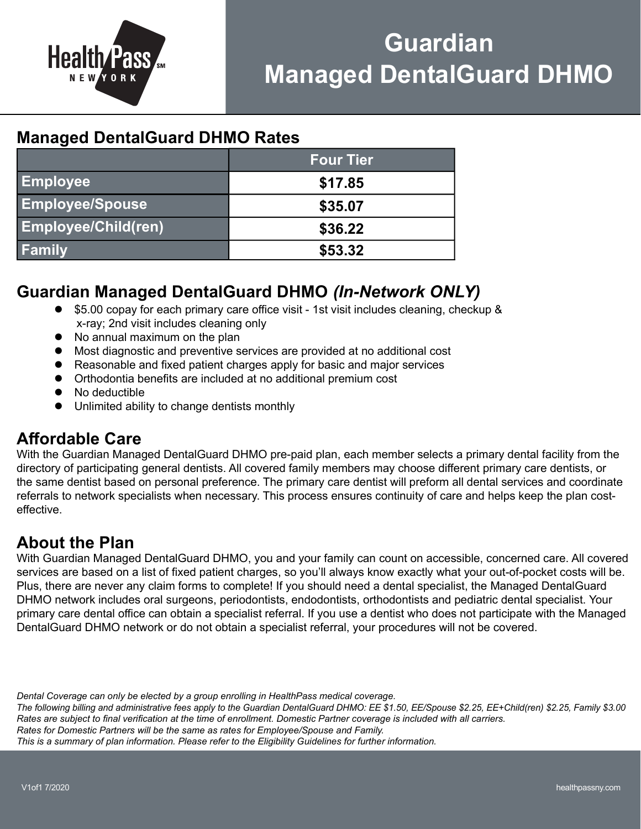

# Guardian Managed DentalGuard DHMO

## Managed DentalGuard DHMO Rates

|                            | <b>Four Tier</b> |
|----------------------------|------------------|
| <b>Employee</b>            | \$17.85          |
| <b>Employee/Spouse</b>     | \$35.07          |
| <b>Employee/Child(ren)</b> | \$36.22          |
| <b>Family</b>              | \$53.32          |

## Guardian Managed DentalGuard DHMO (In-Network ONLY)

- $\bullet$  \$5.00 copay for each primary care office visit 1st visit includes cleaning, checkup & x-ray; 2nd visit includes cleaning only
- No annual maximum on the plan
- Most diagnostic and preventive services are provided at no additional cost
- Reasonable and fixed patient charges apply for basic and major services
- **•** Orthodontia benefits are included at no additional premium cost
- No deductible
- Unlimited ability to change dentists monthly

### Affordable Care

With the Guardian Managed DentalGuard DHMO pre-paid plan, each member selects a primary dental facility from the directory of participating general dentists. All covered family members may choose different primary care dentists, or the same dentist based on personal preference. The primary care dentist will preform all dental services and coordinate referrals to network specialists when necessary. This process ensures continuity of care and helps keep the plan costeffective

## About the Plan

With Guardian Managed DentalGuard DHMO, you and your family can count on accessible, concerned care. All covered services are based on a list of fixed patient charges, so you'll always know exactly what your out-of-pocket costs will be. Plus, there are never any claim forms to complete! If you should need a dental specialist, the Managed DentalGuard DHMO network includes oral surgeons, periodontists, endodontists, orthodontists and pediatric dental specialist. Your primary care dental office can obtain a specialist referral. If you use a dentist who does not participate with the Managed DentalGuard DHMO network or do not obtain a specialist referral, your procedures will not be covered.

Dental Coverage can only be elected by a group enrolling in HealthPass medical coverage.

The following billing and administrative fees apply to the Guardian DentalGuard DHMO: EE \$1.50, EE/Spouse \$2.25, EE+Child(ren) \$2.25, Family \$3.00 Rates are subiect to final verification at the time of enrollment. Domestic Partner coverage is included with all carriers. Rates for Domestic Partners will be the same as rates for Employee/Spouse and Family. This is a summary of plan information. Please refer to the Eligibility Guidelines for further information.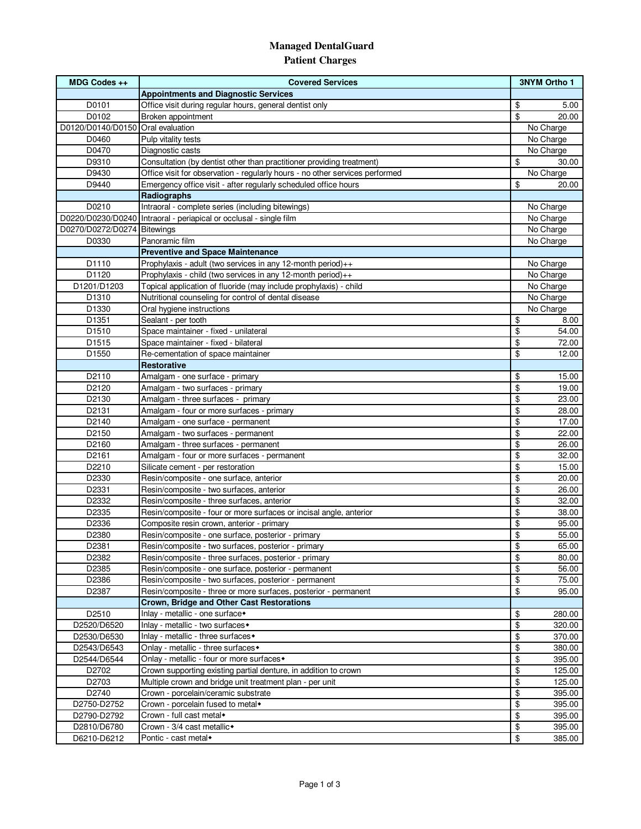#### **Managed DentalGuard Patient Charges**

| MDG Codes ++                      | <b>Covered Services</b>                                                                                         | <b>3NYM Ortho 1</b>        |
|-----------------------------------|-----------------------------------------------------------------------------------------------------------------|----------------------------|
|                                   | <b>Appointments and Diagnostic Services</b>                                                                     |                            |
| D0101                             | Office visit during regular hours, general dentist only                                                         | \$<br>5.00                 |
| D0102                             | Broken appointment                                                                                              | \$<br>20.00                |
| D0120/D0140/D0150 Oral evaluation |                                                                                                                 | No Charge                  |
| D0460                             | Pulp vitality tests                                                                                             | No Charge                  |
| D0470                             | Diagnostic casts                                                                                                | No Charge                  |
| D9310                             | Consultation (by dentist other than practitioner providing treatment)                                           | \$<br>30.00                |
| D9430                             | Office visit for observation - regularly hours - no other services performed                                    | No Charge                  |
| D9440                             | Emergency office visit - after regularly scheduled office hours                                                 | \$<br>20.00                |
|                                   | Radiographs                                                                                                     |                            |
| D0210                             | Intraoral - complete series (including bitewings)                                                               | No Charge                  |
|                                   | D0220/D0230/D0240 Intraoral - periapical or occlusal - single film                                              | No Charge                  |
| D0270/D0272/D0274 Bitewings       |                                                                                                                 | No Charge                  |
| D0330                             | Panoramic film                                                                                                  | No Charge                  |
|                                   | <b>Preventive and Space Maintenance</b>                                                                         |                            |
| D1110                             | Prophylaxis - adult (two services in any 12-month period)++                                                     | No Charge                  |
| D1120                             | Prophylaxis - child (two services in any 12-month period)++                                                     | No Charge                  |
| D1201/D1203                       | Topical application of fluoride (may include prophylaxis) - child                                               | No Charge                  |
| D1310                             | Nutritional counseling for control of dental disease                                                            | No Charge                  |
| D1330                             | Oral hygiene instructions                                                                                       | No Charge                  |
| D <sub>1351</sub>                 | Sealant - per tooth                                                                                             | \$<br>8.00                 |
| D1510                             | Space maintainer - fixed - unilateral                                                                           | \$<br>54.00                |
| D1515                             | Space maintainer - fixed - bilateral                                                                            | \$<br>72.00                |
| D1550                             | Re-cementation of space maintainer                                                                              | \$<br>12.00                |
|                                   | <b>Restorative</b>                                                                                              |                            |
| D2110                             | Amalgam - one surface - primary                                                                                 | \$<br>15.00                |
| D2120                             | Amalgam - two surfaces - primary                                                                                | \$<br>19.00                |
| D2130                             | Amalgam - three surfaces - primary                                                                              | \$<br>23.00                |
| D2131                             | Amalgam - four or more surfaces - primary                                                                       | \$<br>28.00                |
| D2140                             | Amalgam - one surface - permanent                                                                               | \$<br>17.00                |
| D2150                             | Amalgam - two surfaces - permanent                                                                              | \$<br>22.00                |
| D2160                             | Amalgam - three surfaces - permanent                                                                            | \$<br>26.00                |
| D2161                             | Amalgam - four or more surfaces - permanent                                                                     | \$<br>32.00                |
| D2210                             | Silicate cement - per restoration                                                                               | \$<br>15.00                |
| D2330                             | Resin/composite - one surface, anterior                                                                         | \$<br>20.00                |
| D2331                             | Resin/composite - two surfaces, anterior                                                                        | \$<br>26.00                |
| D2332                             | Resin/composite - three surfaces, anterior                                                                      | \$<br>32.00                |
| D2335<br>D2336                    | Resin/composite - four or more surfaces or incisal angle, anterior<br>Composite resin crown, anterior - primary | \$<br>38.00<br>\$<br>95.00 |
|                                   | Resin/composite - one surface, posterior - primary                                                              | \$                         |
| D2380<br>D2381                    | Resin/composite - two surfaces, posterior - primary                                                             | 55.00<br>65.00<br>\$       |
| D2382                             | Resin/composite - three surfaces, posterior - primary                                                           | \$<br>80.00                |
| D2385                             | Resin/composite - one surface, posterior - permanent                                                            | \$<br>56.00                |
| D2386                             | Resin/composite - two surfaces, posterior - permanent                                                           | \$<br>75.00                |
| D2387                             | Resin/composite - three or more surfaces, posterior - permanent                                                 | \$<br>95.00                |
|                                   | Crown, Bridge and Other Cast Restorations                                                                       |                            |
| D2510                             | Inlay - metallic - one surface*                                                                                 | \$<br>280.00               |
| D2520/D6520                       | Inlay - metallic - two surfaces <sup>+</sup>                                                                    | \$<br>320.00               |
| D2530/D6530                       | Inlay - metallic - three surfaces •                                                                             | \$<br>370.00               |
| D2543/D6543                       | Onlay - metallic - three surfaces •                                                                             | \$<br>380.00               |
| D2544/D6544                       | Onlay - metallic - four or more surfaces •                                                                      | \$<br>395.00               |
| D2702                             | Crown supporting existing partial denture, in addition to crown                                                 | \$<br>125.00               |
| D2703                             | Multiple crown and bridge unit treatment plan - per unit                                                        | \$<br>125.00               |
| D2740                             | Crown - porcelain/ceramic substrate                                                                             | \$<br>395.00               |
| D2750-D2752                       | Crown - porcelain fused to metal*                                                                               | \$<br>395.00               |
| D2790-D2792                       | Crown - full cast metal*                                                                                        | \$<br>395.00               |
| D2810/D6780                       | Crown - 3/4 cast metallic+                                                                                      | \$<br>395.00               |
| D6210-D6212                       | Pontic - cast metal                                                                                             | \$<br>385.00               |
|                                   |                                                                                                                 |                            |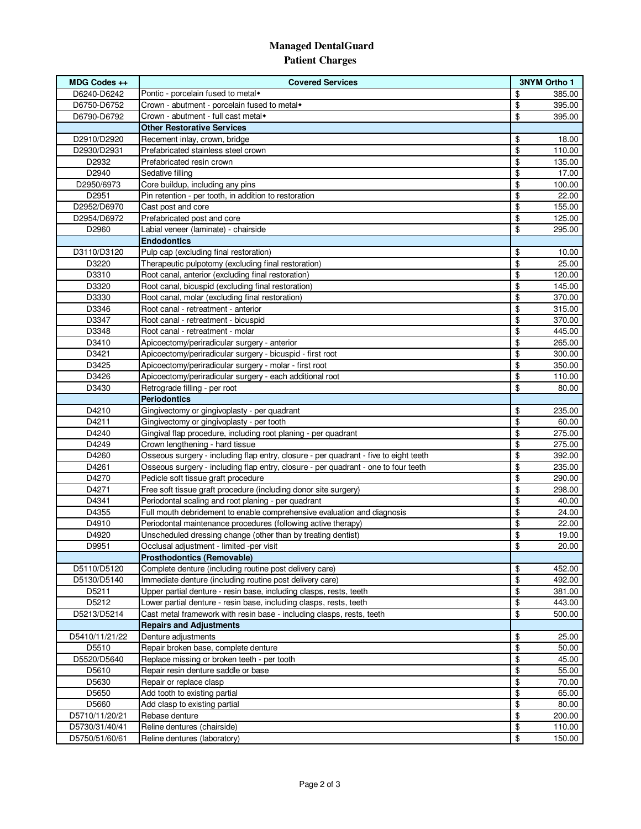#### **Managed DentalGuard Patient Charges**

| MDG Codes ++   | <b>Covered Services</b>                                                              | <b>3NYM Ortho 1</b> |        |
|----------------|--------------------------------------------------------------------------------------|---------------------|--------|
| D6240-D6242    | Pontic - porcelain fused to metal                                                    | \$                  | 385.00 |
| D6750-D6752    | Crown - abutment - porcelain fused to metal*                                         | \$                  | 395.00 |
| D6790-D6792    | Crown - abutment - full cast metal*                                                  | \$                  | 395.00 |
|                | <b>Other Restorative Services</b>                                                    |                     |        |
| D2910/D2920    | Recement inlay, crown, bridge                                                        | \$                  | 18.00  |
| D2930/D2931    | Prefabricated stainless steel crown                                                  | \$                  | 110.00 |
| D2932          | Prefabricated resin crown                                                            | \$                  | 135.00 |
| D2940          | Sedative filling                                                                     | \$                  | 17.00  |
| D2950/6973     | Core buildup, including any pins                                                     | \$                  | 100.00 |
| D2951          | Pin retention - per tooth, in addition to restoration                                | \$                  | 22.00  |
| D2952/D6970    | Cast post and core                                                                   | \$                  | 155.00 |
| D2954/D6972    | Prefabricated post and core                                                          | \$                  | 125.00 |
| D2960          | Labial veneer (laminate) - chairside                                                 | \$                  | 295.00 |
|                | <b>Endodontics</b>                                                                   |                     |        |
| D3110/D3120    | Pulp cap (excluding final restoration)                                               | \$                  | 10.00  |
| D3220          | Therapeutic pulpotomy (excluding final restoration)                                  | \$                  | 25.00  |
| D3310          | Root canal, anterior (excluding final restoration)                                   | \$                  | 120.00 |
| D3320          | Root canal, bicuspid (excluding final restoration)                                   | \$                  | 145.00 |
| D3330          | Root canal, molar (excluding final restoration)                                      | \$                  | 370.00 |
| D3346          | Root canal - retreatment - anterior                                                  | \$                  | 315.00 |
| D3347          | Root canal - retreatment - bicuspid                                                  | \$                  | 370.00 |
| D3348          | Root canal - retreatment - molar                                                     | \$                  | 445.00 |
| D3410          | Apicoectomy/periradicular surgery - anterior                                         | \$                  | 265.00 |
| D3421          | Apicoectomy/periradicular surgery - bicuspid - first root                            | \$                  | 300.00 |
| D3425          | Apicoectomy/periradicular surgery - molar - first root                               | \$                  | 350.00 |
| D3426          | Apicoectomy/periradicular surgery - each additional root                             | \$                  | 110.00 |
| D3430          | Retrograde filling - per root                                                        | \$                  | 80.00  |
|                | <b>Periodontics</b>                                                                  |                     |        |
| D4210          | Gingivectomy or gingivoplasty - per quadrant                                         | \$                  | 235.00 |
| D4211          | Gingivectomy or gingivoplasty - per tooth                                            | \$                  | 60.00  |
| D4240          | Gingival flap procedure, including root planing - per quadrant                       | \$                  | 275.00 |
| D4249          | Crown lengthening - hard tissue                                                      | \$                  | 275.00 |
| D4260          | Osseous surgery - including flap entry, closure - per quadrant - five to eight teeth | \$                  | 392.00 |
| D4261          | Osseous surgery - including flap entry, closure - per quadrant - one to four teeth   | \$                  | 235.00 |
| D4270          | Pedicle soft tissue graft procedure                                                  | \$                  | 290.00 |
| D4271          | Free soft tissue graft procedure (including donor site surgery)                      | \$                  | 298.00 |
| D4341          | Periodontal scaling and root planing - per quadrant                                  | \$                  | 40.00  |
| D4355          | Full mouth debridement to enable comprehensive evaluation and diagnosis              | \$                  | 24.00  |
| D4910          | Periodontal maintenance procedures (following active therapy)                        | \$                  | 22.00  |
| D4920          | Unscheduled dressing change (other than by treating dentist)                         | \$                  | 19.00  |
| D9951          | Occlusal adjustment - limited -per visit                                             | \$                  | 20.00  |
|                | <b>Prosthodontics (Removable)</b>                                                    |                     |        |
| D5110/D5120    | Complete denture (including routine post delivery care)                              | \$                  | 452.00 |
| D5130/D5140    | Immediate denture (including routine post delivery care)                             | \$                  | 492.00 |
| D5211          | Upper partial denture - resin base, including clasps, rests, teeth                   | \$                  | 381.00 |
| D5212          | Lower partial denture - resin base, including clasps, rests, teeth                   | \$                  | 443.00 |
| D5213/D5214    | Cast metal framework with resin base - including clasps, rests, teeth                | \$                  | 500.00 |
|                | <b>Repairs and Adjustments</b>                                                       |                     |        |
| D5410/11/21/22 | Denture adjustments                                                                  | \$                  | 25.00  |
| D5510          | Repair broken base, complete denture                                                 | \$                  | 50.00  |
| D5520/D5640    | Replace missing or broken teeth - per tooth                                          | \$                  | 45.00  |
| D5610          | Repair resin denture saddle or base                                                  | \$                  | 55.00  |
| D5630          | Repair or replace clasp                                                              | \$                  | 70.00  |
| D5650          | Add tooth to existing partial                                                        | \$                  | 65.00  |
| D5660          | Add clasp to existing partial                                                        | \$                  | 80.00  |
| D5710/11/20/21 | Rebase denture                                                                       | \$                  | 200.00 |
| D5730/31/40/41 | Reline dentures (chairside)                                                          | \$                  | 110.00 |
| D5750/51/60/61 | Reline dentures (laboratory)                                                         | \$                  | 150.00 |